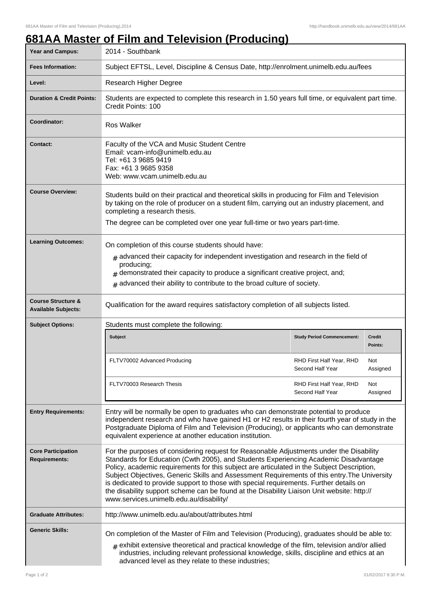## **681AA Master of Film and Television (Producing)**

| Year and Campus:                                            | 2014 - Southbank                                                                                                                                                                                                                                                                                                                                                                                                                                                                                                                                                                                                 |                                              |                          |
|-------------------------------------------------------------|------------------------------------------------------------------------------------------------------------------------------------------------------------------------------------------------------------------------------------------------------------------------------------------------------------------------------------------------------------------------------------------------------------------------------------------------------------------------------------------------------------------------------------------------------------------------------------------------------------------|----------------------------------------------|--------------------------|
| <b>Fees Information:</b>                                    | Subject EFTSL, Level, Discipline & Census Date, http://enrolment.unimelb.edu.au/fees                                                                                                                                                                                                                                                                                                                                                                                                                                                                                                                             |                                              |                          |
| Level:                                                      | Research Higher Degree                                                                                                                                                                                                                                                                                                                                                                                                                                                                                                                                                                                           |                                              |                          |
| <b>Duration &amp; Credit Points:</b>                        | Students are expected to complete this research in 1.50 years full time, or equivalent part time.<br>Credit Points: 100                                                                                                                                                                                                                                                                                                                                                                                                                                                                                          |                                              |                          |
| <b>Coordinator:</b>                                         | <b>Ros Walker</b>                                                                                                                                                                                                                                                                                                                                                                                                                                                                                                                                                                                                |                                              |                          |
| <b>Contact:</b>                                             | Faculty of the VCA and Music Student Centre<br>Email: vcam-info@unimelb.edu.au<br>Tel: +61 3 9685 9419<br>Fax: +61 3 9685 9358<br>Web: www.vcam.unimelb.edu.au                                                                                                                                                                                                                                                                                                                                                                                                                                                   |                                              |                          |
| <b>Course Overview:</b>                                     | Students build on their practical and theoretical skills in producing for Film and Television<br>by taking on the role of producer on a student film, carrying out an industry placement, and<br>completing a research thesis.<br>The degree can be completed over one year full-time or two years part-time.                                                                                                                                                                                                                                                                                                    |                                              |                          |
|                                                             |                                                                                                                                                                                                                                                                                                                                                                                                                                                                                                                                                                                                                  |                                              |                          |
| <b>Learning Outcomes:</b>                                   | On completion of this course students should have:<br>$#$ advanced their capacity for independent investigation and research in the field of<br>producing;<br>demonstrated their capacity to produce a significant creative project, and;<br>advanced their ability to contribute to the broad culture of society.<br>#                                                                                                                                                                                                                                                                                          |                                              |                          |
| <b>Course Structure &amp;</b><br><b>Available Subjects:</b> | Qualification for the award requires satisfactory completion of all subjects listed.                                                                                                                                                                                                                                                                                                                                                                                                                                                                                                                             |                                              |                          |
| <b>Subject Options:</b>                                     | Students must complete the following:                                                                                                                                                                                                                                                                                                                                                                                                                                                                                                                                                                            |                                              |                          |
|                                                             | <b>Subject</b>                                                                                                                                                                                                                                                                                                                                                                                                                                                                                                                                                                                                   | <b>Study Period Commencement:</b>            | <b>Credit</b><br>Points: |
|                                                             | FLTV70002 Advanced Producing                                                                                                                                                                                                                                                                                                                                                                                                                                                                                                                                                                                     | RHD First Half Year, RHD<br>Second Half Year | Not<br>Assigned          |
|                                                             | FLTV70003 Research Thesis                                                                                                                                                                                                                                                                                                                                                                                                                                                                                                                                                                                        | RHD First Half Year, RHD<br>Second Half Year | Not<br>Assigned          |
| <b>Entry Requirements:</b>                                  | Entry will be normally be open to graduates who can demonstrate potential to produce<br>independent research and who have gained H1 or H2 results in their fourth year of study in the<br>Postgraduate Diploma of Film and Television (Producing), or applicants who can demonstrate<br>equivalent experience at another education institution.                                                                                                                                                                                                                                                                  |                                              |                          |
| <b>Core Participation</b><br><b>Requirements:</b>           | For the purposes of considering request for Reasonable Adjustments under the Disability<br>Standards for Education (Cwth 2005), and Students Experiencing Academic Disadvantage<br>Policy, academic requirements for this subject are articulated in the Subject Description,<br>Subject Objectives, Generic Skills and Assessment Requirements of this entry. The University<br>is dedicated to provide support to those with special requirements. Further details on<br>the disability support scheme can be found at the Disability Liaison Unit website: http://<br>www.services.unimelb.edu.au/disability/ |                                              |                          |
| <b>Graduate Attributes:</b>                                 | http://www.unimelb.edu.au/about/attributes.html                                                                                                                                                                                                                                                                                                                                                                                                                                                                                                                                                                  |                                              |                          |
| <b>Generic Skills:</b>                                      | On completion of the Master of Film and Television (Producing), graduates should be able to:<br>$#$ exhibit extensive theoretical and practical knowledge of the film, television and/or allied<br>industries, including relevant professional knowledge, skills, discipline and ethics at an<br>advanced level as they relate to these industries;                                                                                                                                                                                                                                                              |                                              |                          |